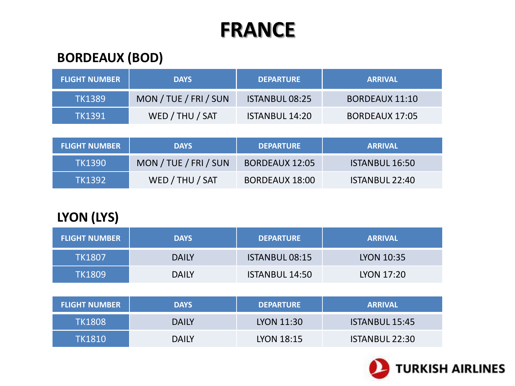### **BORDEAUX (BOD)**

| <b>FLIGHT NUMBER</b> | <b>DAYS</b>           | <b>DEPARTURE</b>      | <b>ARRIVAL</b>        |
|----------------------|-----------------------|-----------------------|-----------------------|
| <b>TK1389</b>        | MON / TUE / FRI / SUN | <b>ISTANBUL 08:25</b> | <b>BORDEAUX 11:10</b> |
| <b>TK1391</b>        | WED / THU / SAT       | <b>ISTANBUL 14:20</b> | <b>BORDEAUX 17:05</b> |
|                      |                       |                       |                       |
| <b>FLIGHT NUMBER</b> | <b>DAYS</b>           | <b>DEPARTURE</b>      | <b>ARRIVAL</b>        |

| <b>FLIGHT NUMBER</b> | <b>DAYS</b>           | <b>LDEPARTURE</b>     | <b>ARRIVAL</b> |
|----------------------|-----------------------|-----------------------|----------------|
| TK1390'              | MON / TUE / FRI / SUN | BORDEAUX 12:05        | ISTANBUL 16:50 |
| TK1392               | WED / THU / SAT       | <b>BORDEAUX 18:00</b> | ISTANBUL 22:40 |

### **LYON (LYS)**

| <b>FLIGHT NUMBER</b> | <b>DAYS</b>  | <b>I DEPARTURE</b>    | <b>ARRIVAL</b> |
|----------------------|--------------|-----------------------|----------------|
| <b>TK1807</b>        | <b>DAILY</b> | <b>ISTANBUL 08:15</b> | LYON 10:35     |
| <b>TK1809</b>        | <b>DAILY</b> | <b>ISTANBUL 14:50</b> | LYON 17:20     |

| <b>FLIGHT NUMBER</b> | <b>DAYS</b>  | <b>DEPARTURE</b> | <b>ARRIVAL</b>        |
|----------------------|--------------|------------------|-----------------------|
| <b>TK1808</b>        | <b>DAILY</b> | LYON 11:30       | <b>ISTANBUL 15:45</b> |
| <b>TK1810</b>        | <b>DAILY</b> | LYON 18:15       | <b>ISTANBUL 22:30</b> |

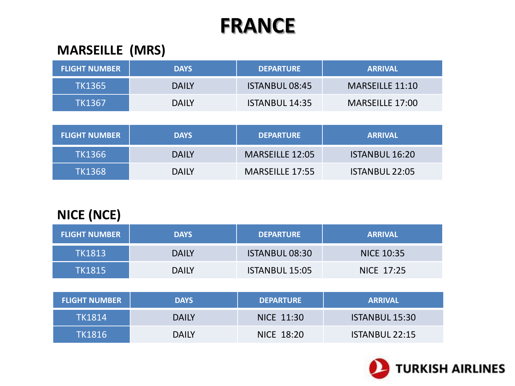### **MARSEILLE (MRS)**

| <b>FLIGHT NUMBER</b> | <b>DAYS</b>  | <b>DEPARTURE</b>      | <b>ARRIVAL</b>  |
|----------------------|--------------|-----------------------|-----------------|
| TK13651              | <b>DAILY</b> | <b>ISTANBUL 08:45</b> | MARSEILLE 11:10 |
| TK1367               | <b>DAILY</b> | <b>ISTANBUL 14:35</b> | MARSEILLE 17:00 |

| <b>FLIGHT NUMBER</b> | <b>DAYS</b>  | <b>DEPARTURE</b> | <b>ARRIVAL</b>        |
|----------------------|--------------|------------------|-----------------------|
| <b>TK1366</b>        | <b>DAILY</b> | MARSEILLE 12:05  | <b>ISTANBUL 16:20</b> |
| TK1368               | <b>DAILY</b> | MARSEILLE 17:55  | <b>ISTANBUL 22:05</b> |

#### **NICE (NCE)**

| <b>FLIGHT NUMBER</b> | <b>DAYS</b>  | <b>DEPARTURE</b>      | <b>ARRIVAL</b> |
|----------------------|--------------|-----------------------|----------------|
| <b>TK1813</b>        | <b>DAILY</b> | <b>ISTANBUL 08:30</b> | NICE 10:35     |
| TK1815'              | <b>DAILY</b> | <b>ISTANBUL 15:05</b> | NICE 17:25     |

| <b>FLIGHT NUMBER</b> | <b>DAYS</b>  | <b>DEPARTURE</b> | <b>ARRIVAL</b>        |
|----------------------|--------------|------------------|-----------------------|
| <b>TK1814</b>        | <b>DAILY</b> | NICE 11:30       | <b>ISTANBUL 15:30</b> |
| <b>TK1816</b>        | <b>DAILY</b> | NICE 18:20       | <b>ISTANBUL 22:15</b> |

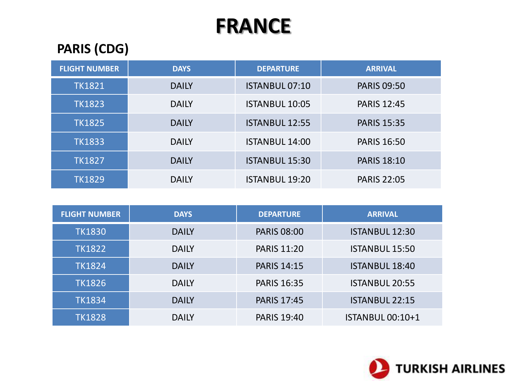## **PARIS (CDG)**

| <b>FLIGHT NUMBER</b> | <b>DAYS</b>  | <b>DEPARTURE</b>      | <b>ARRIVAL</b>     |
|----------------------|--------------|-----------------------|--------------------|
| TK1821               | <b>DAILY</b> | ISTANBUL 07:10        | <b>PARIS 09:50</b> |
| <b>TK1823</b>        | <b>DAILY</b> | <b>ISTANBUL 10:05</b> | <b>PARIS 12:45</b> |
| <b>TK1825</b>        | <b>DAILY</b> | <b>ISTANBUL 12:55</b> | <b>PARIS 15:35</b> |
| <b>TK1833</b>        | <b>DAILY</b> | <b>ISTANBUL 14:00</b> | <b>PARIS 16:50</b> |
| <b>TK1827</b>        | <b>DAILY</b> | <b>ISTANBUL 15:30</b> | <b>PARIS 18:10</b> |
| <b>TK1829</b>        | <b>DAILY</b> | <b>ISTANBUL 19:20</b> | <b>PARIS 22:05</b> |

| <b>FLIGHT NUMBER</b> | <b>DAYS</b>  | <b>DEPARTURE</b>   | <b>ARRIVAL</b>          |
|----------------------|--------------|--------------------|-------------------------|
| <b>TK1830</b>        | <b>DAILY</b> | <b>PARIS 08:00</b> | <b>ISTANBUL 12:30</b>   |
| <b>TK1822</b>        | <b>DAILY</b> | <b>PARIS 11:20</b> | <b>ISTANBUL 15:50</b>   |
| <b>TK1824</b>        | <b>DAILY</b> | <b>PARIS 14:15</b> | <b>ISTANBUL 18:40</b>   |
| <b>TK1826</b>        | <b>DAILY</b> | <b>PARIS 16:35</b> | <b>ISTANBUL 20:55</b>   |
| <b>TK1834</b>        | <b>DAILY</b> | <b>PARIS 17:45</b> | <b>ISTANBUL 22:15</b>   |
| <b>TK1828</b>        | <b>DAILY</b> | <b>PARIS 19:40</b> | <b>ISTANBUL 00:10+1</b> |